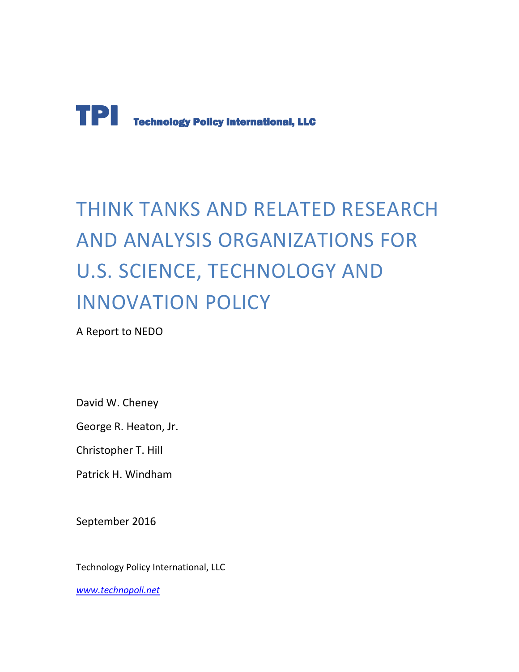

# THINK TANKS AND RELATED RESEARCH AND ANALYSIS ORGANIZATIONS FOR U.S. SCIENCE, TECHNOLOGY AND INNOVATION POLICY

A Report to NEDO

David W. Cheney

George R. Heaton, Jr.

Christopher T. Hill

Patrick H. Windham

September 2016

Technology Policy International, LLC

*www.technopoli.net*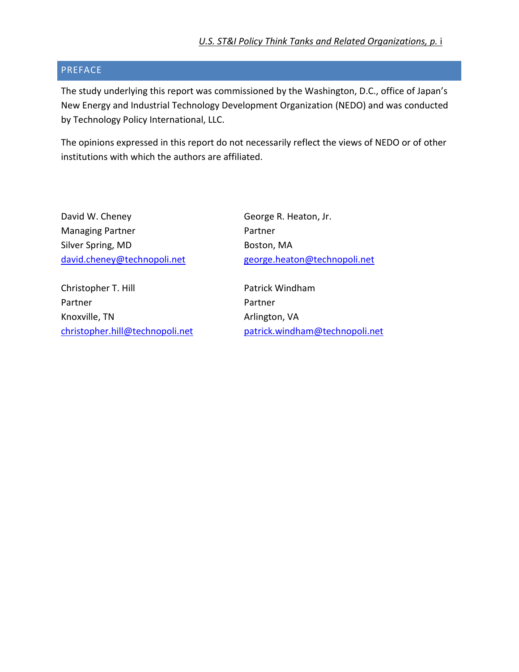#### PREFACE

The study underlying this report was commissioned by the Washington, D.C., office of Japan's New Energy and Industrial Technology Development Organization (NEDO) and was conducted by Technology Policy International, LLC.

The opinions expressed in this report do not necessarily reflect the views of NEDO or of other institutions with which the authors are affiliated.

| David W. Cheney             | George R. Heaton, Jr.        |
|-----------------------------|------------------------------|
| <b>Managing Partner</b>     | Partner                      |
| Silver Spring, MD           | Boston, MA                   |
| david.cheney@technopoli.net | george.heaton@technopoli.net |
| Christopher T. Hill         | Patrick Windham              |
| Partner                     | Partner                      |
| Knoxville, TN               | Arlington, VA                |

christopher.hill@technopoli.net patrick.windham@technopoli.net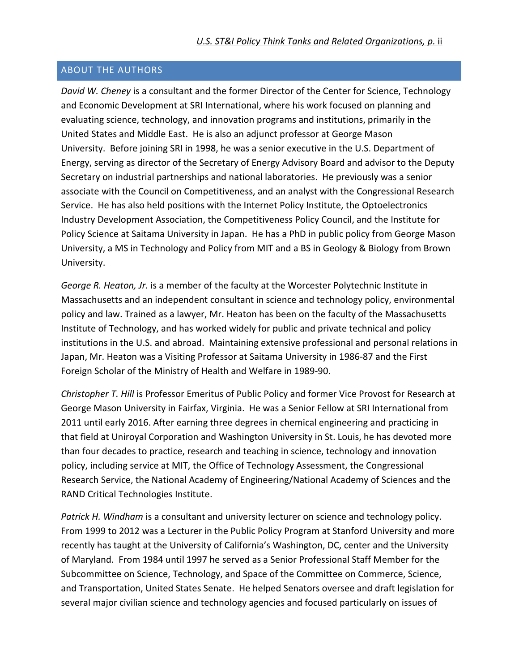#### ABOUT THE AUTHORS

*David W. Cheney* is a consultant and the former Director of the Center for Science, Technology and Economic Development at SRI International, where his work focused on planning and evaluating science, technology, and innovation programs and institutions, primarily in the United States and Middle East. He is also an adjunct professor at George Mason University. Before joining SRI in 1998, he was a senior executive in the U.S. Department of Energy, serving as director of the Secretary of Energy Advisory Board and advisor to the Deputy Secretary on industrial partnerships and national laboratories. He previously was a senior associate with the Council on Competitiveness, and an analyst with the Congressional Research Service. He has also held positions with the Internet Policy Institute, the Optoelectronics Industry Development Association, the Competitiveness Policy Council, and the Institute for Policy Science at Saitama University in Japan. He has a PhD in public policy from George Mason University, a MS in Technology and Policy from MIT and a BS in Geology & Biology from Brown University.

*George R. Heaton, Jr.* is a member of the faculty at the Worcester Polytechnic Institute in Massachusetts and an independent consultant in science and technology policy, environmental policy and law. Trained as a lawyer, Mr. Heaton has been on the faculty of the Massachusetts Institute of Technology, and has worked widely for public and private technical and policy institutions in the U.S. and abroad. Maintaining extensive professional and personal relations in Japan, Mr. Heaton was a Visiting Professor at Saitama University in 1986-87 and the First Foreign Scholar of the Ministry of Health and Welfare in 1989-90.

*Christopher T. Hill* is Professor Emeritus of Public Policy and former Vice Provost for Research at George Mason University in Fairfax, Virginia. He was a Senior Fellow at SRI International from 2011 until early 2016. After earning three degrees in chemical engineering and practicing in that field at Uniroyal Corporation and Washington University in St. Louis, he has devoted more than four decades to practice, research and teaching in science, technology and innovation policy, including service at MIT, the Office of Technology Assessment, the Congressional Research Service, the National Academy of Engineering/National Academy of Sciences and the RAND Critical Technologies Institute.

*Patrick H. Windham* is a consultant and university lecturer on science and technology policy. From 1999 to 2012 was a Lecturer in the Public Policy Program at Stanford University and more recently has taught at the University of California's Washington, DC, center and the University of Maryland. From 1984 until 1997 he served as a Senior Professional Staff Member for the Subcommittee on Science, Technology, and Space of the Committee on Commerce, Science, and Transportation, United States Senate. He helped Senators oversee and draft legislation for several major civilian science and technology agencies and focused particularly on issues of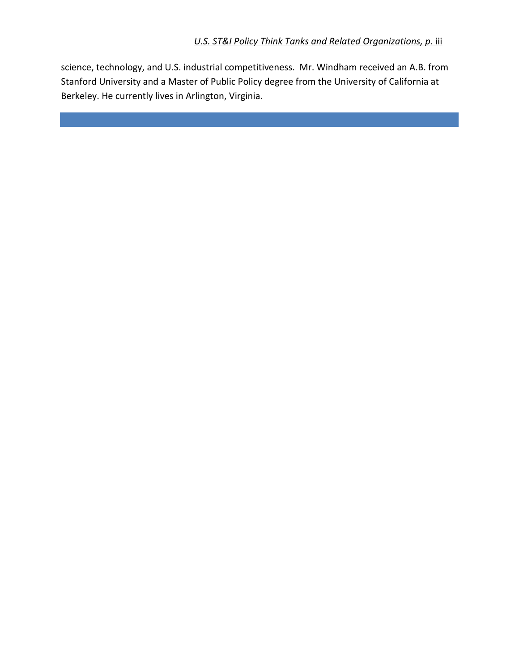science, technology, and U.S. industrial competitiveness. Mr. Windham received an A.B. from Stanford University and a Master of Public Policy degree from the University of California at Berkeley. He currently lives in Arlington, Virginia.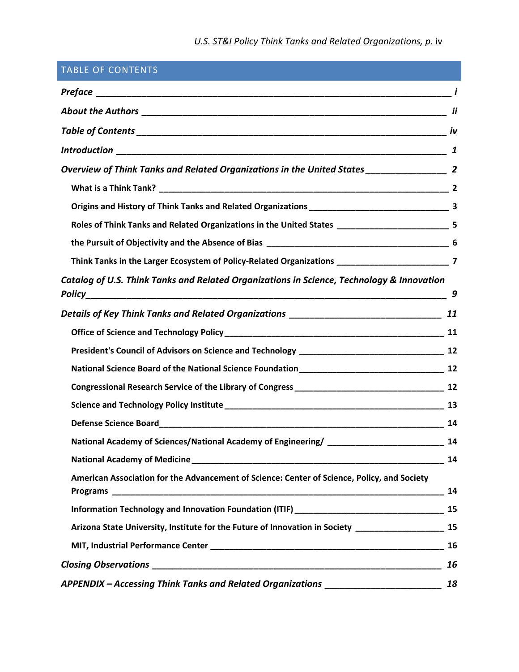# **U.S. ST&I Policy Think Tanks and Related Organizations, p. iv.**

| <b>TABLE OF CONTENTS</b>                                                                                            |    |
|---------------------------------------------------------------------------------------------------------------------|----|
|                                                                                                                     |    |
|                                                                                                                     |    |
|                                                                                                                     |    |
|                                                                                                                     |    |
|                                                                                                                     |    |
|                                                                                                                     |    |
|                                                                                                                     |    |
| Roles of Think Tanks and Related Organizations in the United States ________________________________ 5              |    |
|                                                                                                                     |    |
| Think Tanks in the Larger Ecosystem of Policy-Related Organizations _______________________________7                |    |
| Catalog of U.S. Think Tanks and Related Organizations in Science, Technology & Innovation                           | 9  |
|                                                                                                                     |    |
|                                                                                                                     |    |
|                                                                                                                     |    |
|                                                                                                                     |    |
|                                                                                                                     |    |
|                                                                                                                     |    |
|                                                                                                                     |    |
| National Academy of Sciences/National Academy of Engineering/ _________________________<br>$\overline{\mathbf{14}}$ |    |
|                                                                                                                     |    |
| American Association for the Advancement of Science: Center of Science, Policy, and Society                         |    |
|                                                                                                                     |    |
| Arizona State University, Institute for the Future of Innovation in Society ________________________ 15             |    |
|                                                                                                                     |    |
|                                                                                                                     | 16 |
| APPENDIX - Accessing Think Tanks and Related Organizations _____________________                                    | 18 |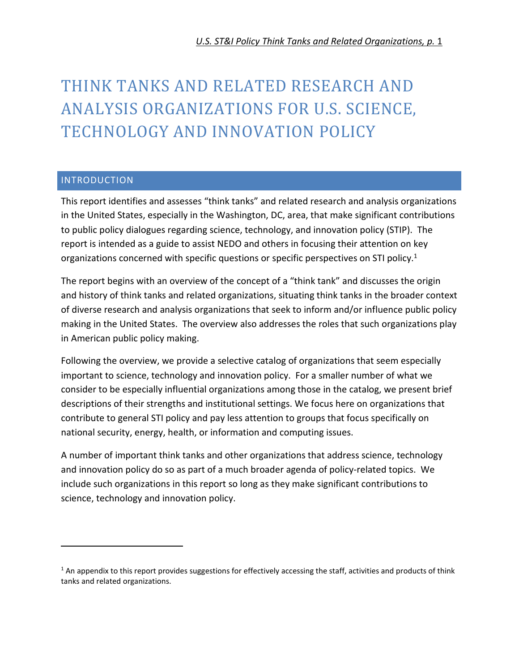# THINK TANKS AND RELATED RESEARCH AND ANALYSIS ORGANIZATIONS FOR U.S. SCIENCE, TECHNOLOGY AND INNOVATION POLICY

#### **INTRODUCTION**

.

This report identifies and assesses "think tanks" and related research and analysis organizations in the United States, especially in the Washington, DC, area, that make significant contributions to public policy dialogues regarding science, technology, and innovation policy (STIP). The report is intended as a guide to assist NEDO and others in focusing their attention on key organizations concerned with specific questions or specific perspectives on STI policy.<sup>1</sup>

The report begins with an overview of the concept of a "think tank" and discusses the origin and history of think tanks and related organizations, situating think tanks in the broader context of diverse research and analysis organizations that seek to inform and/or influence public policy making in the United States. The overview also addresses the roles that such organizations play in American public policy making.

Following the overview, we provide a selective catalog of organizations that seem especially important to science, technology and innovation policy. For a smaller number of what we consider to be especially influential organizations among those in the catalog, we present brief descriptions of their strengths and institutional settings. We focus here on organizations that contribute to general STI policy and pay less attention to groups that focus specifically on national security, energy, health, or information and computing issues.

A number of important think tanks and other organizations that address science, technology and innovation policy do so as part of a much broader agenda of policy-related topics. We include such organizations in this report so long as they make significant contributions to science, technology and innovation policy.

 $1$  An appendix to this report provides suggestions for effectively accessing the staff, activities and products of think tanks and related organizations.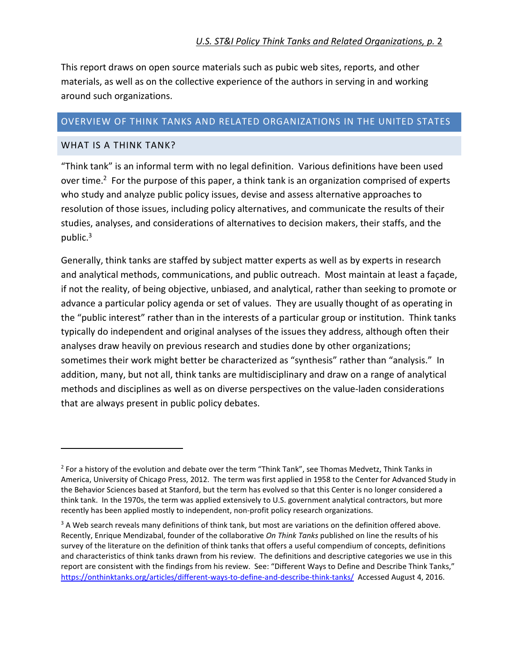This report draws on open source materials such as pubic web sites, reports, and other materials, as well as on the collective experience of the authors in serving in and working around such organizations.

#### OVERVIEW OF THINK TANKS AND RELATED ORGANIZATIONS IN THE UNITED STATES

#### WHAT IS A THINK TANK?

1

"Think tank" is an informal term with no legal definition. Various definitions have been used over time.<sup>2</sup> For the purpose of this paper, a think tank is an organization comprised of experts who study and analyze public policy issues, devise and assess alternative approaches to resolution of those issues, including policy alternatives, and communicate the results of their studies, analyses, and considerations of alternatives to decision makers, their staffs, and the public.<sup>3</sup>

Generally, think tanks are staffed by subject matter experts as well as by experts in research and analytical methods, communications, and public outreach. Most maintain at least a façade, if not the reality, of being objective, unbiased, and analytical, rather than seeking to promote or advance a particular policy agenda or set of values. They are usually thought of as operating in the "public interest" rather than in the interests of a particular group or institution. Think tanks typically do independent and original analyses of the issues they address, although often their analyses draw heavily on previous research and studies done by other organizations; sometimes their work might better be characterized as "synthesis" rather than "analysis." In addition, many, but not all, think tanks are multidisciplinary and draw on a range of analytical methods and disciplines as well as on diverse perspectives on the value-laden considerations that are always present in public policy debates.

<sup>&</sup>lt;sup>2</sup> For a history of the evolution and debate over the term "Think Tank", see Thomas Medvetz, Think Tanks in America, University of Chicago Press, 2012. The term was first applied in 1958 to the Center for Advanced Study in the Behavior Sciences based at Stanford, but the term has evolved so that this Center is no longer considered a think tank. In the 1970s, the term was applied extensively to U.S. government analytical contractors, but more recently has been applied mostly to independent, non-profit policy research organizations.

<sup>&</sup>lt;sup>3</sup> A Web search reveals many definitions of think tank, but most are variations on the definition offered above. Recently, Enrique Mendizabal, founder of the collaborative *On Think Tanks* published on line the results of his survey of the literature on the definition of think tanks that offers a useful compendium of concepts, definitions and characteristics of think tanks drawn from his review. The definitions and descriptive categories we use in this report are consistent with the findings from his review. See: "Different Ways to Define and Describe Think Tanks," https://onthinktanks.org/articles/different-ways-to-define-and-describe-think-tanks/ Accessed August 4, 2016.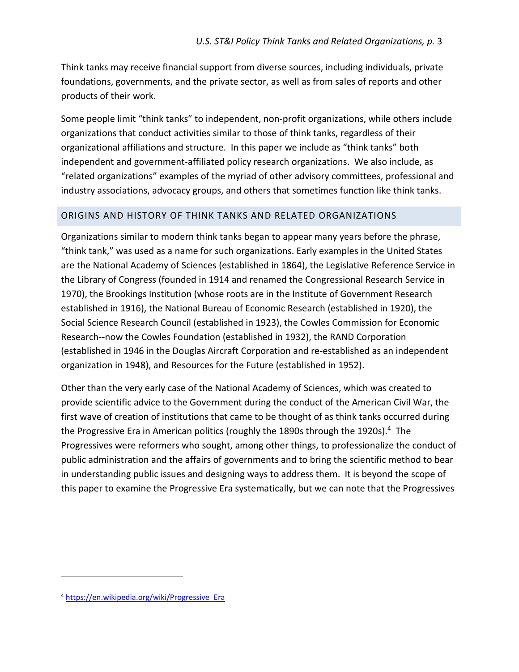Think tanks may receive financial support from diverse sources, including individuals, private foundations, governments, and the private sector, as well as from sales of reports and other products of their work.

Some people limit "think tanks" to independent, non-profit organizations, while others include organizations that conduct activities similar to those of think tanks, regardless of their organizational affiliations and structure. In this paper we include as "think tanks" both independent and government-affiliated policy research organizations. We also include, as "related organizations" examples of the myriad of other advisory committees, professional and industry associations, advocacy groups, and others that sometimes function like think tanks.

#### ORIGINS AND HISTORY OF THINK TANKS AND RELATED ORGANIZATIONS

Organizations similar to modern think tanks began to appear many years before the phrase, "think tank," was used as a name for such organizations. Early examples in the United States are the National Academy of Sciences (established in 1864), the Legislative Reference Service in the Library of Congress (founded in 1914 and renamed the Congressional Research Service in 1970), the Brookings Institution (whose roots are in the Institute of Government Research established in 1916), the National Bureau of Economic Research (established in 1920), the Social Science Research Council (established in 1923), the Cowles Commission for Economic Research--now the Cowles Foundation (established in 1932), the RAND Corporation (established in 1946 in the Douglas Aircraft Corporation and re-established as an independent organization in 1948), and Resources for the Future (established in 1952).

Other than the very early case of the National Academy of Sciences, which was created to provide scientific advice to the Government during the conduct of the American Civil War, the first wave of creation of institutions that came to be thought of as think tanks occurred during the Progressive Era in American politics (roughly the 1890s through the 1920s).<sup>4</sup> The Progressives were reformers who sought, among other things, to professionalize the conduct of public administration and the affairs of governments and to bring the scientific method to bear in understanding public issues and designing ways to address them. It is beyond the scope of this paper to examine the Progressive Era systematically, but we can note that the Progressives

1

<sup>4</sup> https://en.wikipedia.org/wiki/Progressive\_Era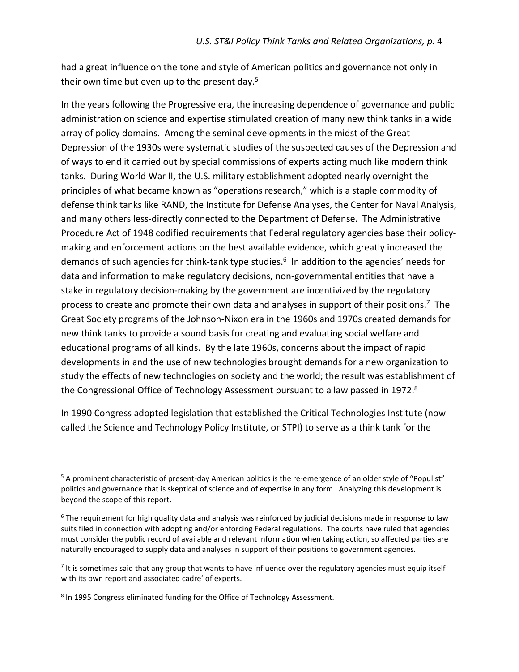had a great influence on the tone and style of American politics and governance not only in their own time but even up to the present day.<sup>5</sup>

In the years following the Progressive era, the increasing dependence of governance and public administration on science and expertise stimulated creation of many new think tanks in a wide array of policy domains. Among the seminal developments in the midst of the Great Depression of the 1930s were systematic studies of the suspected causes of the Depression and of ways to end it carried out by special commissions of experts acting much like modern think tanks. During World War II, the U.S. military establishment adopted nearly overnight the principles of what became known as "operations research," which is a staple commodity of defense think tanks like RAND, the Institute for Defense Analyses, the Center for Naval Analysis, and many others less-directly connected to the Department of Defense. The Administrative Procedure Act of 1948 codified requirements that Federal regulatory agencies base their policymaking and enforcement actions on the best available evidence, which greatly increased the demands of such agencies for think-tank type studies.<sup>6</sup> In addition to the agencies' needs for data and information to make regulatory decisions, non-governmental entities that have a stake in regulatory decision-making by the government are incentivized by the regulatory process to create and promote their own data and analyses in support of their positions.<sup>7</sup> The Great Society programs of the Johnson-Nixon era in the 1960s and 1970s created demands for new think tanks to provide a sound basis for creating and evaluating social welfare and educational programs of all kinds. By the late 1960s, concerns about the impact of rapid developments in and the use of new technologies brought demands for a new organization to study the effects of new technologies on society and the world; the result was establishment of the Congressional Office of Technology Assessment pursuant to a law passed in 1972.<sup>8</sup>

In 1990 Congress adopted legislation that established the Critical Technologies Institute (now called the Science and Technology Policy Institute, or STPI) to serve as a think tank for the

1

<sup>&</sup>lt;sup>5</sup> A prominent characteristic of present-day American politics is the re-emergence of an older style of "Populist" politics and governance that is skeptical of science and of expertise in any form. Analyzing this development is beyond the scope of this report.

<sup>&</sup>lt;sup>6</sup> The requirement for high quality data and analysis was reinforced by judicial decisions made in response to law suits filed in connection with adopting and/or enforcing Federal regulations. The courts have ruled that agencies must consider the public record of available and relevant information when taking action, so affected parties are naturally encouraged to supply data and analyses in support of their positions to government agencies.

<sup>&</sup>lt;sup>7</sup> It is sometimes said that any group that wants to have influence over the regulatory agencies must equip itself with its own report and associated cadre' of experts.

<sup>&</sup>lt;sup>8</sup> In 1995 Congress eliminated funding for the Office of Technology Assessment.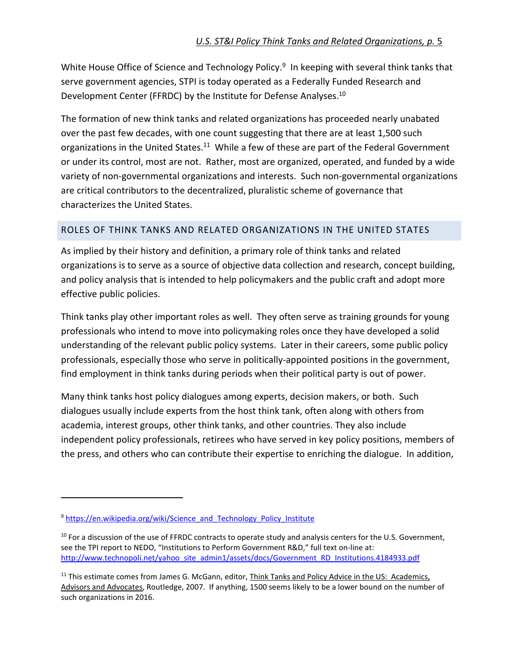White House Office of Science and Technology Policy.<sup>9</sup> In keeping with several think tanks that serve government agencies, STPI is today operated as a Federally Funded Research and Development Center (FFRDC) by the Institute for Defense Analyses.<sup>10</sup>

The formation of new think tanks and related organizations has proceeded nearly unabated over the past few decades, with one count suggesting that there are at least 1,500 such organizations in the United States.<sup>11</sup> While a few of these are part of the Federal Government or under its control, most are not. Rather, most are organized, operated, and funded by a wide variety of non-governmental organizations and interests. Such non-governmental organizations are critical contributors to the decentralized, pluralistic scheme of governance that characterizes the United States.

# ROLES OF THINK TANKS AND RELATED ORGANIZATIONS IN THE UNITED STATES

As implied by their history and definition, a primary role of think tanks and related organizations is to serve as a source of objective data collection and research, concept building, and policy analysis that is intended to help policymakers and the public craft and adopt more effective public policies.

Think tanks play other important roles as well. They often serve as training grounds for young professionals who intend to move into policymaking roles once they have developed a solid understanding of the relevant public policy systems. Later in their careers, some public policy professionals, especially those who serve in politically-appointed positions in the government, find employment in think tanks during periods when their political party is out of power.

Many think tanks host policy dialogues among experts, decision makers, or both. Such dialogues usually include experts from the host think tank, often along with others from academia, interest groups, other think tanks, and other countries. They also include independent policy professionals, retirees who have served in key policy positions, members of the press, and others who can contribute their expertise to enriching the dialogue. In addition,

.

<sup>&</sup>lt;sup>9</sup> https://en.wikipedia.org/wiki/Science\_and\_Technology\_Policy\_Institute

 $10$  For a discussion of the use of FFRDC contracts to operate study and analysis centers for the U.S. Government, see the TPI report to NEDO, "Institutions to Perform Government R&D," full text on-line at: http://www.technopoli.net/yahoo\_site\_admin1/assets/docs/Government\_RD\_Institutions.4184933.pdf

<sup>&</sup>lt;sup>11</sup> This estimate comes from James G. McGann, editor, Think Tanks and Policy Advice in the US: Academics, Advisors and Advocates, Routledge, 2007. If anything, 1500 seems likely to be a lower bound on the number of such organizations in 2016.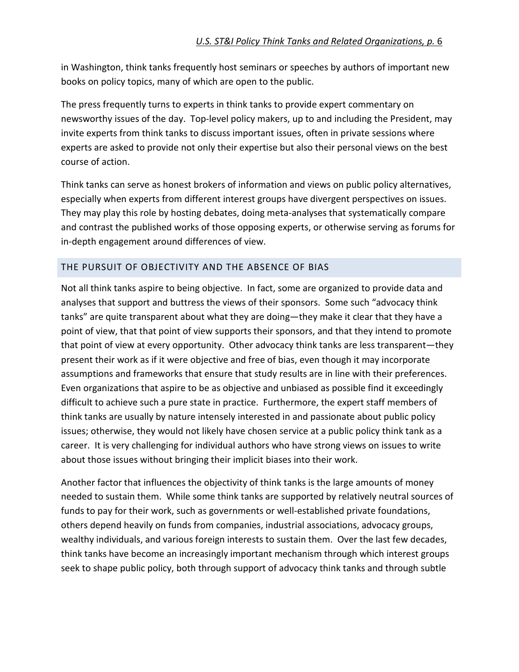in Washington, think tanks frequently host seminars or speeches by authors of important new books on policy topics, many of which are open to the public.

The press frequently turns to experts in think tanks to provide expert commentary on newsworthy issues of the day. Top-level policy makers, up to and including the President, may invite experts from think tanks to discuss important issues, often in private sessions where experts are asked to provide not only their expertise but also their personal views on the best course of action.

Think tanks can serve as honest brokers of information and views on public policy alternatives, especially when experts from different interest groups have divergent perspectives on issues. They may play this role by hosting debates, doing meta-analyses that systematically compare and contrast the published works of those opposing experts, or otherwise serving as forums for in-depth engagement around differences of view.

# THE PURSUIT OF OBJECTIVITY AND THE ABSENCE OF BIAS

Not all think tanks aspire to being objective. In fact, some are organized to provide data and analyses that support and buttress the views of their sponsors. Some such "advocacy think tanks" are quite transparent about what they are doing—they make it clear that they have a point of view, that that point of view supports their sponsors, and that they intend to promote that point of view at every opportunity. Other advocacy think tanks are less transparent—they present their work as if it were objective and free of bias, even though it may incorporate assumptions and frameworks that ensure that study results are in line with their preferences. Even organizations that aspire to be as objective and unbiased as possible find it exceedingly difficult to achieve such a pure state in practice. Furthermore, the expert staff members of think tanks are usually by nature intensely interested in and passionate about public policy issues; otherwise, they would not likely have chosen service at a public policy think tank as a career. It is very challenging for individual authors who have strong views on issues to write about those issues without bringing their implicit biases into their work.

Another factor that influences the objectivity of think tanks is the large amounts of money needed to sustain them. While some think tanks are supported by relatively neutral sources of funds to pay for their work, such as governments or well-established private foundations, others depend heavily on funds from companies, industrial associations, advocacy groups, wealthy individuals, and various foreign interests to sustain them. Over the last few decades, think tanks have become an increasingly important mechanism through which interest groups seek to shape public policy, both through support of advocacy think tanks and through subtle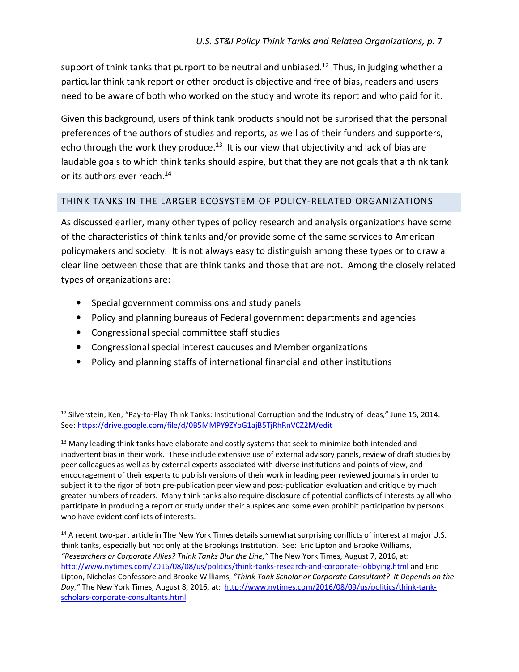support of think tanks that purport to be neutral and unbiased.<sup>12</sup> Thus, in judging whether a particular think tank report or other product is objective and free of bias, readers and users need to be aware of both who worked on the study and wrote its report and who paid for it.

Given this background, users of think tank products should not be surprised that the personal preferences of the authors of studies and reports, as well as of their funders and supporters, echo through the work they produce.<sup>13</sup> It is our view that objectivity and lack of bias are laudable goals to which think tanks should aspire, but that they are not goals that a think tank or its authors ever reach.<sup>14</sup>

#### THINK TANKS IN THE LARGER ECOSYSTEM OF POLICY-RELATED ORGANIZATIONS

As discussed earlier, many other types of policy research and analysis organizations have some of the characteristics of think tanks and/or provide some of the same services to American policymakers and society. It is not always easy to distinguish among these types or to draw a clear line between those that are think tanks and those that are not. Among the closely related types of organizations are:

- Special government commissions and study panels
- Policy and planning bureaus of Federal government departments and agencies
- Congressional special committee staff studies

.

- Congressional special interest caucuses and Member organizations
- Policy and planning staffs of international financial and other institutions

<sup>14</sup> A recent two-part article in The New York Times details somewhat surprising conflicts of interest at major U.S. think tanks, especially but not only at the Brookings Institution. See: Eric Lipton and Brooke Williams, *"Researchers or Corporate Allies? Think Tanks Blur the Line,"* The New York Times, August 7, 2016, at: http://www.nytimes.com/2016/08/08/us/politics/think-tanks-research-and-corporate-lobbying.html and Eric Lipton, Nicholas Confessore and Brooke Williams, *"Think Tank Scholar or Corporate Consultant? It Depends on the Day,"* The New York Times, August 8, 2016, at: http://www.nytimes.com/2016/08/09/us/politics/think-tankscholars-corporate-consultants.html

<sup>&</sup>lt;sup>12</sup> Silverstein, Ken, "Pay-to-Play Think Tanks: Institutional Corruption and the Industry of Ideas," June 15, 2014. See: https://drive.google.com/file/d/0B5MMPY9ZYoG1ajB5TjRhRnVCZ2M/edit

 $13$  Many leading think tanks have elaborate and costly systems that seek to minimize both intended and inadvertent bias in their work. These include extensive use of external advisory panels, review of draft studies by peer colleagues as well as by external experts associated with diverse institutions and points of view, and encouragement of their experts to publish versions of their work in leading peer reviewed journals in order to subject it to the rigor of both pre-publication peer view and post-publication evaluation and critique by much greater numbers of readers. Many think tanks also require disclosure of potential conflicts of interests by all who participate in producing a report or study under their auspices and some even prohibit participation by persons who have evident conflicts of interests.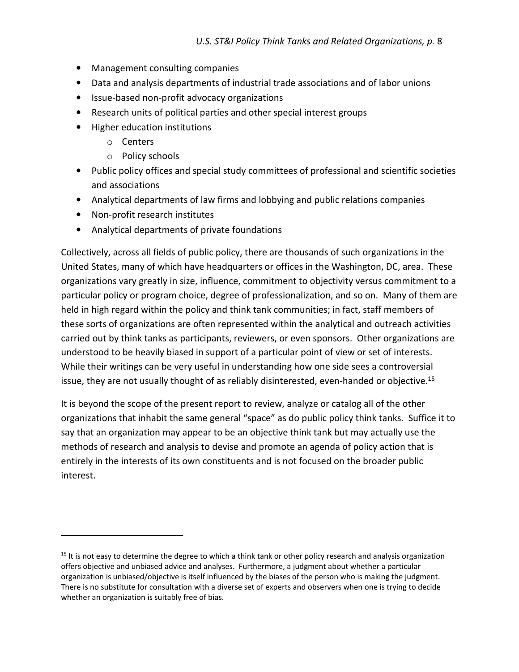- Management consulting companies
- Data and analysis departments of industrial trade associations and of labor unions
- Issue-based non-profit advocacy organizations
- Research units of political parties and other special interest groups
- Higher education institutions
	- o Centers
	- o Policy schools
- Public policy offices and special study committees of professional and scientific societies and associations
- Analytical departments of law firms and lobbying and public relations companies
- Non-profit research institutes

j

• Analytical departments of private foundations

Collectively, across all fields of public policy, there are thousands of such organizations in the United States, many of which have headquarters or offices in the Washington, DC, area. These organizations vary greatly in size, influence, commitment to objectivity versus commitment to a particular policy or program choice, degree of professionalization, and so on. Many of them are held in high regard within the policy and think tank communities; in fact, staff members of these sorts of organizations are often represented within the analytical and outreach activities carried out by think tanks as participants, reviewers, or even sponsors. Other organizations are understood to be heavily biased in support of a particular point of view or set of interests. While their writings can be very useful in understanding how one side sees a controversial issue, they are not usually thought of as reliably disinterested, even-handed or objective.<sup>15</sup>

It is beyond the scope of the present report to review, analyze or catalog all of the other organizations that inhabit the same general "space" as do public policy think tanks. Suffice it to say that an organization may appear to be an objective think tank but may actually use the methods of research and analysis to devise and promote an agenda of policy action that is entirely in the interests of its own constituents and is not focused on the broader public interest.

 $15$  It is not easy to determine the degree to which a think tank or other policy research and analysis organization offers objective and unbiased advice and analyses. Furthermore, a judgment about whether a particular organization is unbiased/objective is itself influenced by the biases of the person who is making the judgment. There is no substitute for consultation with a diverse set of experts and observers when one is trying to decide whether an organization is suitably free of bias.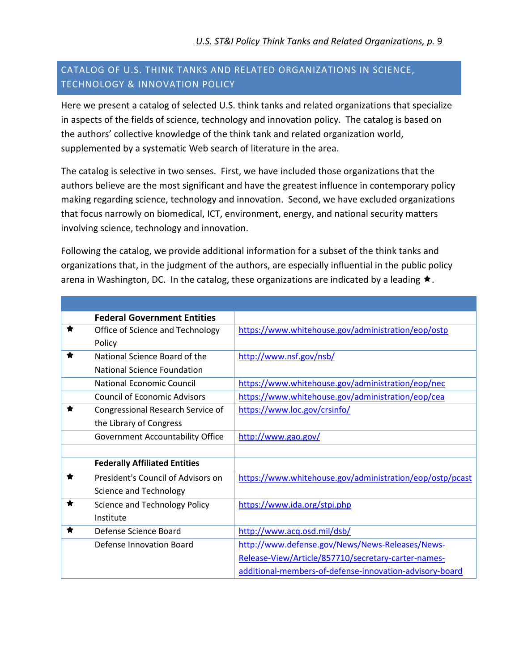# CATALOG OF U.S. THINK TANKS AND RELATED ORGANIZATIONS IN SCIENCE, TECHNOLOGY & INNOVATION POLICY

Here we present a catalog of selected U.S. think tanks and related organizations that specialize in aspects of the fields of science, technology and innovation policy. The catalog is based on the authors' collective knowledge of the think tank and related organization world, supplemented by a systematic Web search of literature in the area.

The catalog is selective in two senses. First, we have included those organizations that the authors believe are the most significant and have the greatest influence in contemporary policy making regarding science, technology and innovation. Second, we have excluded organizations that focus narrowly on biomedical, ICT, environment, energy, and national security matters involving science, technology and innovation.

Following the catalog, we provide additional information for a subset of the think tanks and organizations that, in the judgment of the authors, are especially influential in the public policy arena in Washington, DC. In the catalog, these organizations are indicated by a leading  $\star$ .

| <b>Federal Government Entities</b>        |                                                          |
|-------------------------------------------|----------------------------------------------------------|
| Office of Science and Technology<br>₩     | https://www.whitehouse.gov/administration/eop/ostp       |
| Policy                                    |                                                          |
| National Science Board of the<br>×        | http://www.nsf.gov/nsb/                                  |
| National Science Foundation               |                                                          |
| National Economic Council                 | https://www.whitehouse.gov/administration/eop/nec        |
| <b>Council of Economic Advisors</b>       | https://www.whitehouse.gov/administration/eop/cea        |
| Congressional Research Service of         | https://www.loc.gov/crsinfo/                             |
| the Library of Congress                   |                                                          |
| <b>Government Accountability Office</b>   | http://www.gao.gov/                                      |
|                                           |                                                          |
| <b>Federally Affiliated Entities</b>      |                                                          |
| ★<br>President's Council of Advisors on   | https://www.whitehouse.gov/administration/eop/ostp/pcast |
| Science and Technology                    |                                                          |
| <b>Science and Technology Policy</b><br>Ħ | https://www.ida.org/stpi.php                             |
| Institute                                 |                                                          |
| Defense Science Board                     | http://www.acq.osd.mil/dsb/                              |
| Defense Innovation Board                  | http://www.defense.gov/News/News-Releases/News-          |
|                                           | Release-View/Article/857710/secretary-carter-names-      |
|                                           | additional-members-of-defense-innovation-advisory-board  |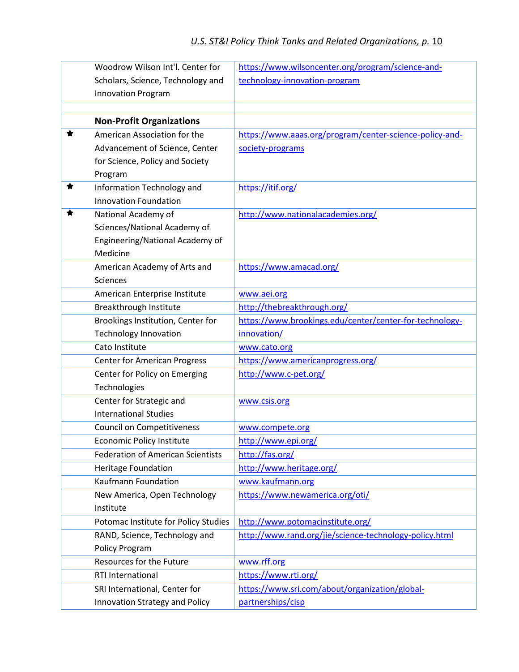| Woodrow Wilson Int'l, Center for         | https://www.wilsoncenter.org/program/science-and-       |
|------------------------------------------|---------------------------------------------------------|
| Scholars, Science, Technology and        | technology-innovation-program                           |
| <b>Innovation Program</b>                |                                                         |
|                                          |                                                         |
| <b>Non-Profit Organizations</b>          |                                                         |
| ★<br>American Association for the        | https://www.aaas.org/program/center-science-policy-and- |
| Advancement of Science, Center           | society-programs                                        |
| for Science, Policy and Society          |                                                         |
| Program                                  |                                                         |
| ★<br>Information Technology and          | https://itif.org/                                       |
| Innovation Foundation                    |                                                         |
| National Academy of<br>★                 | http://www.nationalacademies.org/                       |
| Sciences/National Academy of             |                                                         |
| Engineering/National Academy of          |                                                         |
| Medicine                                 |                                                         |
| American Academy of Arts and             | https://www.amacad.org/                                 |
| <b>Sciences</b>                          |                                                         |
| American Enterprise Institute            | www.aei.org                                             |
| Breakthrough Institute                   | http://thebreakthrough.org/                             |
| Brookings Institution, Center for        | https://www.brookings.edu/center/center-for-technology- |
| <b>Technology Innovation</b>             | innovation/                                             |
| Cato Institute                           | www.cato.org                                            |
| <b>Center for American Progress</b>      | https://www.americanprogress.org/                       |
| Center for Policy on Emerging            | http://www.c-pet.org/                                   |
| Technologies                             |                                                         |
| Center for Strategic and                 | www.csis.org                                            |
| <b>International Studies</b>             |                                                         |
| <b>Council on Competitiveness</b>        | www.compete.org                                         |
| <b>Economic Policy Institute</b>         | http://www.epi.org/                                     |
| <b>Federation of American Scientists</b> | http://fas.org/                                         |
| Heritage Foundation                      | http://www.heritage.org/                                |
| <b>Kaufmann Foundation</b>               | www.kaufmann.org                                        |
| New America, Open Technology             | https://www.newamerica.org/oti/                         |
| Institute                                |                                                         |
| Potomac Institute for Policy Studies     | http://www.potomacinstitute.org/                        |
| RAND, Science, Technology and            | http://www.rand.org/jie/science-technology-policy.html  |
| <b>Policy Program</b>                    |                                                         |
| Resources for the Future                 | www.rff.org                                             |
| RTI International                        | https://www.rti.org/                                    |
| SRI International, Center for            | https://www.sri.com/about/organization/global-          |
| Innovation Strategy and Policy           | partnerships/cisp                                       |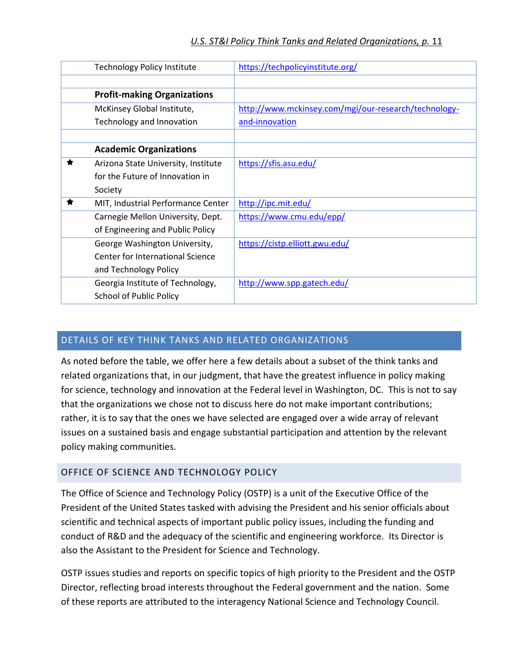| <b>Technology Policy Institute</b>  | https://techpolicyinstitute.org/                     |
|-------------------------------------|------------------------------------------------------|
|                                     |                                                      |
| <b>Profit-making Organizations</b>  |                                                      |
| McKinsey Global Institute,          | http://www.mckinsey.com/mgi/our-research/technology- |
| Technology and Innovation           | and-innovation                                       |
|                                     |                                                      |
| <b>Academic Organizations</b>       |                                                      |
| Arizona State University, Institute | https://sfis.asu.edu/                                |
| for the Future of Innovation in     |                                                      |
| Society                             |                                                      |
| MIT, Industrial Performance Center  | http://ipc.mit.edu/                                  |
| Carnegie Mellon University, Dept.   | https://www.cmu.edu/epp/                             |
| of Engineering and Public Policy    |                                                      |
| George Washington University,       | https://cistp.elliott.gwu.edu/                       |
| Center for International Science    |                                                      |
| and Technology Policy               |                                                      |
| Georgia Institute of Technology,    | http://www.spp.gatech.edu/                           |
| <b>School of Public Policy</b>      |                                                      |

# DETAILS OF KEY THINK TANKS AND RELATED ORGANIZATIONS

As noted before the table, we offer here a few details about a subset of the think tanks and related organizations that, in our judgment, that have the greatest influence in policy making for science, technology and innovation at the Federal level in Washington, DC. This is not to say that the organizations we chose not to discuss here do not make important contributions; rather, it is to say that the ones we have selected are engaged over a wide array of relevant issues on a sustained basis and engage substantial participation and attention by the relevant policy making communities.

#### OFFICE OF SCIENCE AND TECHNOLOGY POLICY

The Office of Science and Technology Policy (OSTP) is a unit of the Executive Office of the President of the United States tasked with advising the President and his senior officials about scientific and technical aspects of important public policy issues, including the funding and conduct of R&D and the adequacy of the scientific and engineering workforce. Its Director is also the Assistant to the President for Science and Technology.

OSTP issues studies and reports on specific topics of high priority to the President and the OSTP Director, reflecting broad interests throughout the Federal government and the nation. Some of these reports are attributed to the interagency National Science and Technology Council.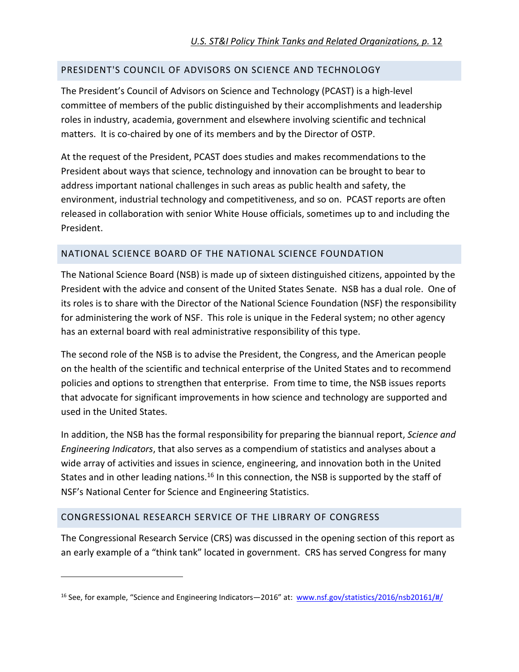#### PRESIDENT'S COUNCIL OF ADVISORS ON SCIENCE AND TECHNOLOGY

The President's Council of Advisors on Science and Technology (PCAST) is a high-level committee of members of the public distinguished by their accomplishments and leadership roles in industry, academia, government and elsewhere involving scientific and technical matters. It is co-chaired by one of its members and by the Director of OSTP.

At the request of the President, PCAST does studies and makes recommendations to the President about ways that science, technology and innovation can be brought to bear to address important national challenges in such areas as public health and safety, the environment, industrial technology and competitiveness, and so on. PCAST reports are often released in collaboration with senior White House officials, sometimes up to and including the President.

#### NATIONAL SCIENCE BOARD OF THE NATIONAL SCIENCE FOUNDATION

The National Science Board (NSB) is made up of sixteen distinguished citizens, appointed by the President with the advice and consent of the United States Senate. NSB has a dual role. One of its roles is to share with the Director of the National Science Foundation (NSF) the responsibility for administering the work of NSF. This role is unique in the Federal system; no other agency has an external board with real administrative responsibility of this type.

The second role of the NSB is to advise the President, the Congress, and the American people on the health of the scientific and technical enterprise of the United States and to recommend policies and options to strengthen that enterprise. From time to time, the NSB issues reports that advocate for significant improvements in how science and technology are supported and used in the United States.

In addition, the NSB has the formal responsibility for preparing the biannual report, *Science and Engineering Indicators*, that also serves as a compendium of statistics and analyses about a wide array of activities and issues in science, engineering, and innovation both in the United States and in other leading nations.<sup>16</sup> In this connection, the NSB is supported by the staff of NSF's National Center for Science and Engineering Statistics.

#### CONGRESSIONAL RESEARCH SERVICE OF THE LIBRARY OF CONGRESS

1

The Congressional Research Service (CRS) was discussed in the opening section of this report as an early example of a "think tank" located in government. CRS has served Congress for many

<sup>&</sup>lt;sup>16</sup> See, for example, "Science and Engineering Indicators—2016" at: www.nsf.gov/statistics/2016/nsb20161/#/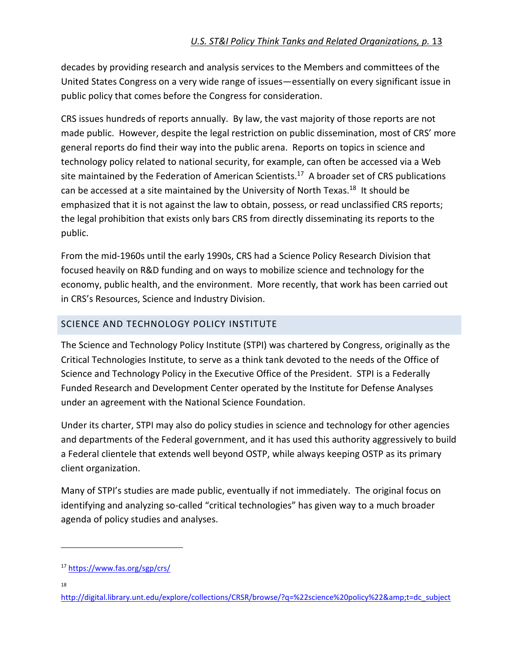decades by providing research and analysis services to the Members and committees of the United States Congress on a very wide range of issues—essentially on every significant issue in public policy that comes before the Congress for consideration.

CRS issues hundreds of reports annually. By law, the vast majority of those reports are not made public. However, despite the legal restriction on public dissemination, most of CRS' more general reports do find their way into the public arena. Reports on topics in science and technology policy related to national security, for example, can often be accessed via a Web site maintained by the Federation of American Scientists.<sup>17</sup> A broader set of CRS publications can be accessed at a site maintained by the University of North Texas.<sup>18</sup> It should be emphasized that it is not against the law to obtain, possess, or read unclassified CRS reports; the legal prohibition that exists only bars CRS from directly disseminating its reports to the public.

From the mid-1960s until the early 1990s, CRS had a Science Policy Research Division that focused heavily on R&D funding and on ways to mobilize science and technology for the economy, public health, and the environment. More recently, that work has been carried out in CRS's Resources, Science and Industry Division.

# SCIENCE AND TECHNOLOGY POLICY INSTITUTE

The Science and Technology Policy Institute (STPI) was chartered by Congress, originally as the Critical Technologies Institute, to serve as a think tank devoted to the needs of the Office of Science and Technology Policy in the Executive Office of the President. STPI is a Federally Funded Research and Development Center operated by the Institute for Defense Analyses under an agreement with the National Science Foundation.

Under its charter, STPI may also do policy studies in science and technology for other agencies and departments of the Federal government, and it has used this authority aggressively to build a Federal clientele that extends well beyond OSTP, while always keeping OSTP as its primary client organization.

Many of STPI's studies are made public, eventually if not immediately. The original focus on identifying and analyzing so-called "critical technologies" has given way to a much broader agenda of policy studies and analyses.

18

.

<sup>17</sup> https://www.fas.org/sgp/crs/

http://digital.library.unt.edu/explore/collections/CRSR/browse/?q=%22science%20policy%22&t=dc\_subject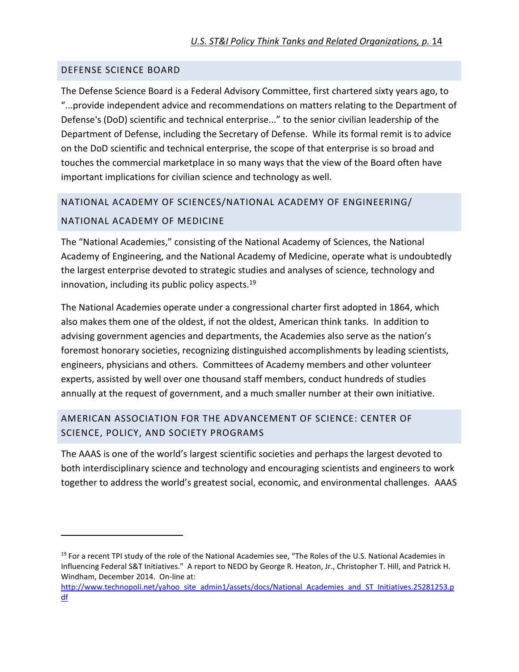#### DEFENSE SCIENCE BOARD

.

The Defense Science Board is a Federal Advisory Committee, first chartered sixty years ago, to "...provide independent advice and recommendations on matters relating to the Department of Defense's (DoD) scientific and technical enterprise..." to the senior civilian leadership of the Department of Defense, including the Secretary of Defense. While its formal remit is to advice on the DoD scientific and technical enterprise, the scope of that enterprise is so broad and touches the commercial marketplace in so many ways that the view of the Board often have important implications for civilian science and technology as well.

# NATIONAL ACADEMY OF SCIENCES/NATIONAL ACADEMY OF ENGINEERING/ NATIONAL ACADEMY OF MEDICINE

The "National Academies," consisting of the National Academy of Sciences, the National Academy of Engineering, and the National Academy of Medicine, operate what is undoubtedly the largest enterprise devoted to strategic studies and analyses of science, technology and innovation, including its public policy aspects. $^{19}$ 

The National Academies operate under a congressional charter first adopted in 1864, which also makes them one of the oldest, if not the oldest, American think tanks. In addition to advising government agencies and departments, the Academies also serve as the nation's foremost honorary societies, recognizing distinguished accomplishments by leading scientists, engineers, physicians and others. Committees of Academy members and other volunteer experts, assisted by well over one thousand staff members, conduct hundreds of studies annually at the request of government, and a much smaller number at their own initiative.

# AMERICAN ASSOCIATION FOR THE ADVANCEMENT OF SCIENCE: CENTER OF SCIENCE, POLICY, AND SOCIETY PROGRAMS

The AAAS is one of the world's largest scientific societies and perhaps the largest devoted to both interdisciplinary science and technology and encouraging scientists and engineers to work together to address the world's greatest social, economic, and environmental challenges. AAAS

<sup>&</sup>lt;sup>19</sup> For a recent TPI study of the role of the National Academies see, "The Roles of the U.S. National Academies in Influencing Federal S&T Initiatives." A report to NEDO by George R. Heaton, Jr., Christopher T. Hill, and Patrick H. Windham, December 2014. On-line at:

http://www.technopoli.net/yahoo\_site\_admin1/assets/docs/National\_Academies\_and\_ST\_Initiatives.25281253.p df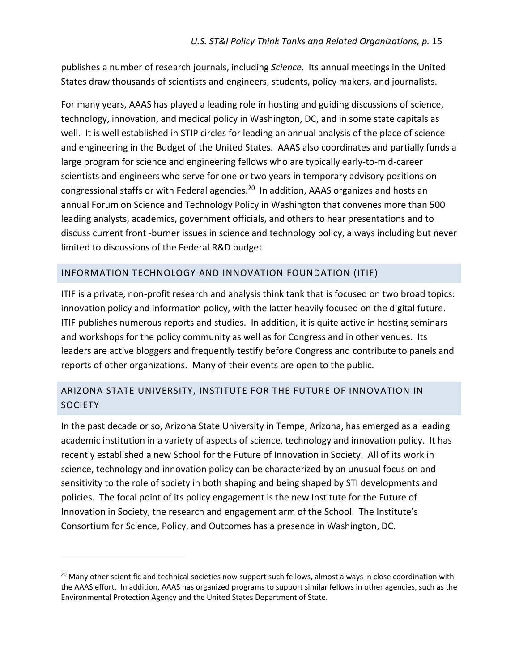publishes a number of research journals, including *Science*. Its annual meetings in the United States draw thousands of scientists and engineers, students, policy makers, and journalists.

For many years, AAAS has played a leading role in hosting and guiding discussions of science, technology, innovation, and medical policy in Washington, DC, and in some state capitals as well. It is well established in STIP circles for leading an annual analysis of the place of science and engineering in the Budget of the United States. AAAS also coordinates and partially funds a large program for science and engineering fellows who are typically early-to-mid-career scientists and engineers who serve for one or two years in temporary advisory positions on congressional staffs or with Federal agencies.<sup>20</sup> In addition, AAAS organizes and hosts an annual Forum on Science and Technology Policy in Washington that convenes more than 500 leading analysts, academics, government officials, and others to hear presentations and to discuss current front -burner issues in science and technology policy, always including but never limited to discussions of the Federal R&D budget

#### INFORMATION TECHNOLOGY AND INNOVATION FOUNDATION (ITIF)

ITIF is a private, non-profit research and analysis think tank that is focused on two broad topics: innovation policy and information policy, with the latter heavily focused on the digital future. ITIF publishes numerous reports and studies. In addition, it is quite active in hosting seminars and workshops for the policy community as well as for Congress and in other venues. Its leaders are active bloggers and frequently testify before Congress and contribute to panels and reports of other organizations. Many of their events are open to the public.

# ARIZONA STATE UNIVERSITY, INSTITUTE FOR THE FUTURE OF INNOVATION IN **SOCIETY**

In the past decade or so, Arizona State University in Tempe, Arizona, has emerged as a leading academic institution in a variety of aspects of science, technology and innovation policy. It has recently established a new School for the Future of Innovation in Society. All of its work in science, technology and innovation policy can be characterized by an unusual focus on and sensitivity to the role of society in both shaping and being shaped by STI developments and policies. The focal point of its policy engagement is the new Institute for the Future of Innovation in Society, the research and engagement arm of the School. The Institute's Consortium for Science, Policy, and Outcomes has a presence in Washington, DC.

.

<sup>&</sup>lt;sup>20</sup> Many other scientific and technical societies now support such fellows, almost always in close coordination with the AAAS effort. In addition, AAAS has organized programs to support similar fellows in other agencies, such as the Environmental Protection Agency and the United States Department of State.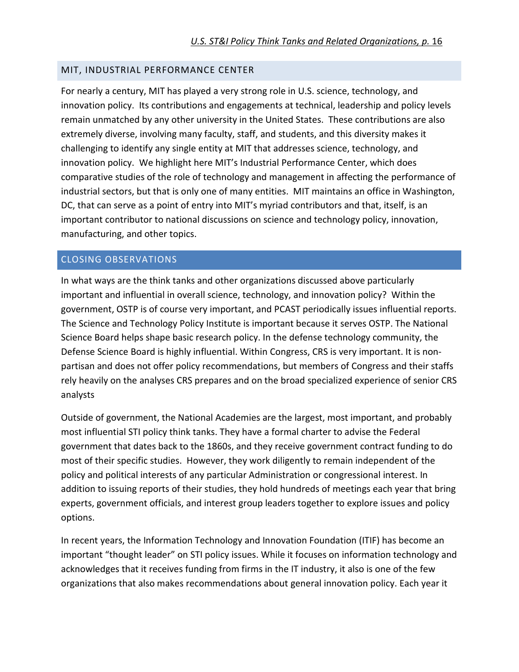#### MIT, INDUSTRIAL PERFORMANCE CENTER

For nearly a century, MIT has played a very strong role in U.S. science, technology, and innovation policy. Its contributions and engagements at technical, leadership and policy levels remain unmatched by any other university in the United States. These contributions are also extremely diverse, involving many faculty, staff, and students, and this diversity makes it challenging to identify any single entity at MIT that addresses science, technology, and innovation policy. We highlight here MIT's Industrial Performance Center, which does comparative studies of the role of technology and management in affecting the performance of industrial sectors, but that is only one of many entities. MIT maintains an office in Washington, DC, that can serve as a point of entry into MIT's myriad contributors and that, itself, is an important contributor to national discussions on science and technology policy, innovation, manufacturing, and other topics.

#### CLOSING OBSERVATIONS

In what ways are the think tanks and other organizations discussed above particularly important and influential in overall science, technology, and innovation policy? Within the government, OSTP is of course very important, and PCAST periodically issues influential reports. The Science and Technology Policy Institute is important because it serves OSTP. The National Science Board helps shape basic research policy. In the defense technology community, the Defense Science Board is highly influential. Within Congress, CRS is very important. It is nonpartisan and does not offer policy recommendations, but members of Congress and their staffs rely heavily on the analyses CRS prepares and on the broad specialized experience of senior CRS analysts

Outside of government, the National Academies are the largest, most important, and probably most influential STI policy think tanks. They have a formal charter to advise the Federal government that dates back to the 1860s, and they receive government contract funding to do most of their specific studies. However, they work diligently to remain independent of the policy and political interests of any particular Administration or congressional interest. In addition to issuing reports of their studies, they hold hundreds of meetings each year that bring experts, government officials, and interest group leaders together to explore issues and policy options.

In recent years, the Information Technology and Innovation Foundation (ITIF) has become an important "thought leader" on STI policy issues. While it focuses on information technology and acknowledges that it receives funding from firms in the IT industry, it also is one of the few organizations that also makes recommendations about general innovation policy. Each year it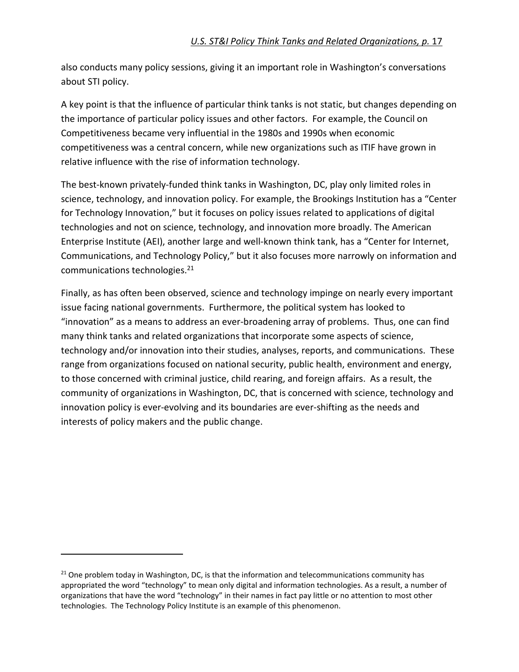also conducts many policy sessions, giving it an important role in Washington's conversations about STI policy.

A key point is that the influence of particular think tanks is not static, but changes depending on the importance of particular policy issues and other factors. For example, the Council on Competitiveness became very influential in the 1980s and 1990s when economic competitiveness was a central concern, while new organizations such as ITIF have grown in relative influence with the rise of information technology.

The best-known privately-funded think tanks in Washington, DC, play only limited roles in science, technology, and innovation policy. For example, the Brookings Institution has a "Center for Technology Innovation," but it focuses on policy issues related to applications of digital technologies and not on science, technology, and innovation more broadly. The American Enterprise Institute (AEI), another large and well-known think tank, has a "Center for Internet, Communications, and Technology Policy," but it also focuses more narrowly on information and communications technologies.<sup>21</sup>

Finally, as has often been observed, science and technology impinge on nearly every important issue facing national governments. Furthermore, the political system has looked to "innovation" as a means to address an ever-broadening array of problems. Thus, one can find many think tanks and related organizations that incorporate some aspects of science, technology and/or innovation into their studies, analyses, reports, and communications. These range from organizations focused on national security, public health, environment and energy, to those concerned with criminal justice, child rearing, and foreign affairs. As a result, the community of organizations in Washington, DC, that is concerned with science, technology and innovation policy is ever-evolving and its boundaries are ever-shifting as the needs and interests of policy makers and the public change.

1

 $21$  One problem today in Washington, DC, is that the information and telecommunications community has appropriated the word "technology" to mean only digital and information technologies. As a result, a number of organizations that have the word "technology" in their names in fact pay little or no attention to most other technologies. The Technology Policy Institute is an example of this phenomenon.